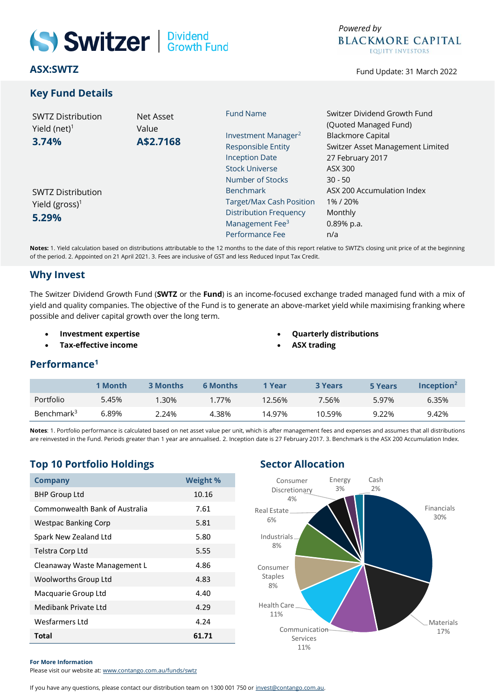

# **ASX:SWTZ**

# **Key Fund Details**



Fund Update: 31 March 2022

| <b>SWTZ Distribution</b><br>Yield (net) <sup>1</sup><br>3.74% | Net Asset<br>Value<br>A\$2.7168 | <b>Fund Name</b>                | Switzer Dividend Growth Fund<br>(Quoted Managed Fund) |  |  |
|---------------------------------------------------------------|---------------------------------|---------------------------------|-------------------------------------------------------|--|--|
|                                                               |                                 | Investment Manager <sup>2</sup> | <b>Blackmore Capital</b>                              |  |  |
|                                                               |                                 | <b>Responsible Entity</b>       | Switzer Asset Management Limited                      |  |  |
|                                                               |                                 | <b>Inception Date</b>           | 27 February 2017                                      |  |  |
|                                                               |                                 | <b>Stock Universe</b>           | ASX 300                                               |  |  |
|                                                               |                                 | Number of Stocks                | $30 - 50$                                             |  |  |
| <b>SWTZ Distribution</b>                                      |                                 | <b>Benchmark</b>                | ASX 200 Accumulation Index                            |  |  |
| Yield (gross) <sup>1</sup>                                    |                                 | Target/Max Cash Position        | 1%/20%                                                |  |  |
| 5.29%                                                         |                                 | <b>Distribution Frequency</b>   | Monthly                                               |  |  |
|                                                               |                                 | Management Fee <sup>3</sup>     | 0.89% p.a.                                            |  |  |
|                                                               |                                 | Performance Fee                 | n/a                                                   |  |  |

**Notes:** 1. Yield calculation based on distributions attributable to the 12 months to the date of this report relative to SWTZ's closing unit price of at the beginning of the period. 2. Appointed on 21 April 2021. 3. Fees are inclusive of GST and less Reduced Input Tax Credit.

### **Why Invest**

The Switzer Dividend Growth Fund (**SWTZ** or the **Fund**) is an income-focused exchange traded managed fund with a mix of yield and quality companies. The objective of the Fund is to generate an above-market yield while maximising franking where possible and deliver capital growth over the long term.

- **Investment expertise**
- **Tax-effective income**
- **Quarterly distributions**
	- **ASX trading**

# **Performance<sup>1</sup>**

|                        | 1 Month | <b>3 Months</b> | <b>6 Months</b> | 1 Year | <b>3 Years</b> | 5 Years | Inception <sup>2</sup> |
|------------------------|---------|-----------------|-----------------|--------|----------------|---------|------------------------|
| Portfolio              | 5.45%   | .30%            | 77%             | 12.56% | 7.56%          | 5.97%   | 6.35%                  |
| Benchmark <sup>3</sup> | 6.89%   | <u>2.24%</u>    | 4.38%           | 14.97% | 10.59%         | 9.22%   | 9.42%                  |

**Notes**: 1. Portfolio performance is calculated based on net asset value per unit, which is after management fees and expenses and assumes that all distributions are reinvested in the Fund. Periods greater than 1 year are annualised. 2. Inception date is 27 February 2017. 3. Benchmark is the ASX 200 Accumulation Index.

# **Top 10 Portfolio Holdings Sector Allocation**

| <b>Company</b>                 | <b>Weight %</b> |
|--------------------------------|-----------------|
| <b>BHP Group Ltd</b>           | 10.16           |
| Commonwealth Bank of Australia | 7.61            |
| <b>Westpac Banking Corp</b>    | 5.81            |
| Spark New Zealand Ltd          | 5.80            |
| Telstra Corp Ltd               | 5.55            |
| Cleanaway Waste Management L   | 4.86            |
| Woolworths Group Ltd           | 4.83            |
| Macquarie Group Ltd            | 4.40            |
| Medibank Private Ltd           | 4.29            |
| Wesfarmers Ltd                 | 4.24            |
| Total                          | 61.71           |



#### **For More Information**

Please visit our website at: [www.contango.com.au/funds/swtz](http://www.contango.com.au/funds/swtz)

If you have any questions, please contact our distribution team on 1300 001 750 o[r invest@contango.com.au.](mailto:invest@contango.com.au)